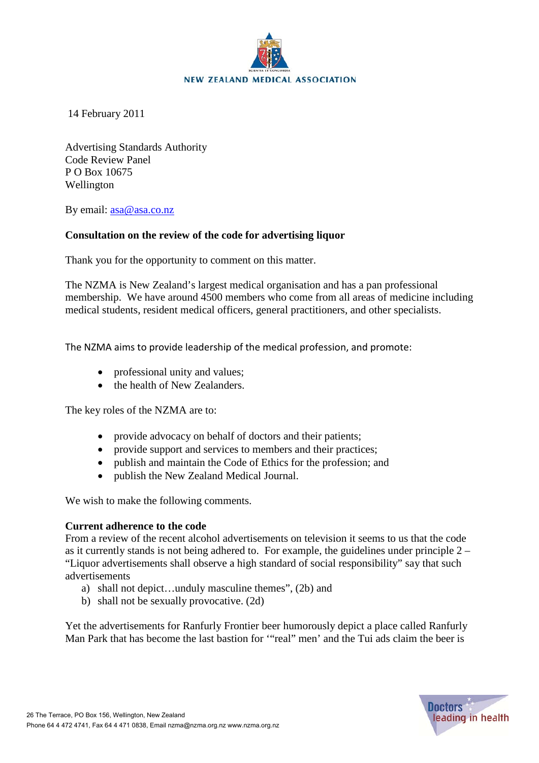

14 February 2011

Advertising Standards Authority Code Review Panel P O Box 10675 Wellington

By email: [asa@asa.co.nz](mailto:asa@asa.co.nz)

# **Consultation on the review of the code for advertising liquor**

Thank you for the opportunity to comment on this matter.

The NZMA is New Zealand's largest medical organisation and has a pan professional membership. We have around 4500 members who come from all areas of medicine including medical students, resident medical officers, general practitioners, and other specialists.

The NZMA aims to provide leadership of the medical profession, and promote:

- professional unity and values;
- the health of New Zealanders.

The key roles of the NZMA are to:

- provide advocacy on behalf of doctors and their patients;
- provide support and services to members and their practices;
- publish and maintain the Code of Ethics for the profession; and
- publish the New Zealand Medical Journal.

We wish to make the following comments.

## **Current adherence to the code**

From a review of the recent alcohol advertisements on television it seems to us that the code as it currently stands is not being adhered to. For example, the guidelines under principle 2 – "Liquor advertisements shall observe a high standard of social responsibility" say that such advertisements

- a) shall not depict…unduly masculine themes", (2b) and
- b) shall not be sexually provocative. (2d)

Yet the advertisements for Ranfurly Frontier beer humorously depict a place called Ranfurly Man Park that has become the last bastion for '"real" men' and the Tui ads claim the beer is

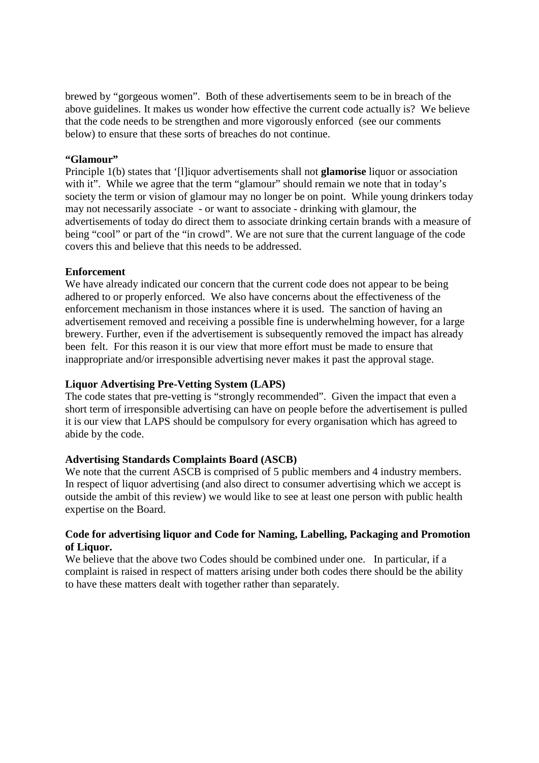brewed by "gorgeous women". Both of these advertisements seem to be in breach of the above guidelines. It makes us wonder how effective the current code actually is? We believe that the code needs to be strengthen and more vigorously enforced (see our comments below) to ensure that these sorts of breaches do not continue.

### **"Glamour"**

Principle 1(b) states that '[l]iquor advertisements shall not **glamorise** liquor or association with it". While we agree that the term "glamour" should remain we note that in today's society the term or vision of glamour may no longer be on point. While young drinkers today may not necessarily associate - or want to associate - drinking with glamour, the advertisements of today do direct them to associate drinking certain brands with a measure of being "cool" or part of the "in crowd". We are not sure that the current language of the code covers this and believe that this needs to be addressed.

#### **Enforcement**

We have already indicated our concern that the current code does not appear to be being adhered to or properly enforced. We also have concerns about the effectiveness of the enforcement mechanism in those instances where it is used. The sanction of having an advertisement removed and receiving a possible fine is underwhelming however, for a large brewery. Further, even if the advertisement is subsequently removed the impact has already been felt. For this reason it is our view that more effort must be made to ensure that inappropriate and/or irresponsible advertising never makes it past the approval stage.

# **Liquor Advertising Pre-Vetting System (LAPS)**

The code states that pre-vetting is "strongly recommended". Given the impact that even a short term of irresponsible advertising can have on people before the advertisement is pulled it is our view that LAPS should be compulsory for every organisation which has agreed to abide by the code.

## **Advertising Standards Complaints Board (ASCB)**

We note that the current ASCB is comprised of 5 public members and 4 industry members. In respect of liquor advertising (and also direct to consumer advertising which we accept is outside the ambit of this review) we would like to see at least one person with public health expertise on the Board.

## **Code for advertising liquor and Code for Naming, Labelling, Packaging and Promotion of Liquor.**

We believe that the above two Codes should be combined under one. In particular, if a complaint is raised in respect of matters arising under both codes there should be the ability to have these matters dealt with together rather than separately.